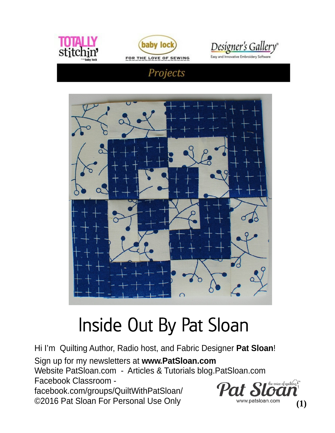



<u>Designer's Gallery</u>

 $(1)$ 

Easy and Innovative Embroidery So

### Projects



# Inside Out By Pat Sloan

Hi I'm Quilting Author, Radio host, and Fabric Designer Pat Sloan! Sign up for my newsletters at www.PatSloan.com Website PatSloan.com - Articles & Tutorials blog.PatSloan.com Facebook Classroom the voice of quilting  $\Gamma^n$ facebook.com/groups/QuiltWithPatSloan/ ©2016 Pat Sloan For Personal Use Only www.patsloan.com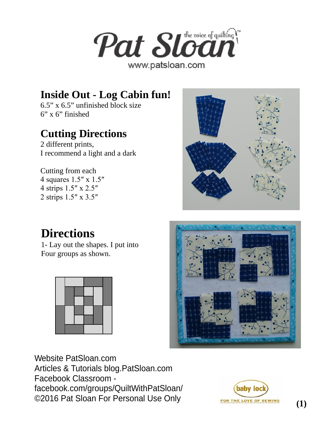

### **Inside Out - Log Cabin fun!**

6.5" x 6.5" unfinished block size  $6"$  x  $6"$  finished

### **Cutting Directions**

2 different prints, I recommend a light and a dark

Cutting from each 4 squares 1.5″ x 1.5″ 4 strips 1.5″ x 2.5″ 2 strips 1.5″ x 3.5″

# **Directions**

1- Lay out the shapes. I put into Four groups as shown.





Website PatSloan.com Articles & Tutorials blog.PatSloan.com Facebook Classroom facebook.com/groups/QuiltWithPatSloan/ ©2016 Pat Sloan For Personal Use Only

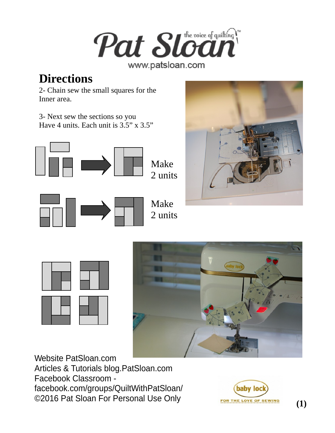

2 units

## **Directions**

2- Chain sew the small squares for the Inner area.

3- Next sew the sections so you Have 4 units. Each unit is 3.5" x 3.5"









Website PatSloan.com Articles & Tutorials blog.PatSloan.com Facebook Classroom facebook.com/groups/QuiltWithPatSloan/ ©2016 Pat Sloan For Personal Use Only



**(1)**